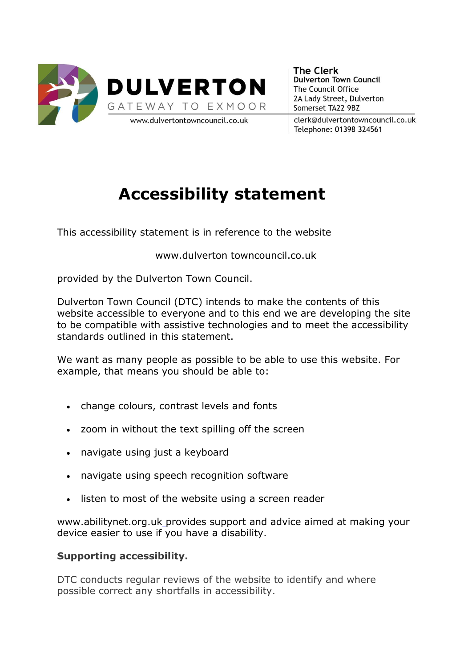

**The Clerk Dulverton Town Council** The Council Office 2A Lady Street, Dulverton Somerset TA22 9BZ

clerk@dulvertontowncouncil.co.uk Telephone: 01398 324561

# **Accessibility statement**

This accessibility statement is in reference to the website

www.dulverton towncouncil.co.uk

provided by the Dulverton Town Council.

Dulverton Town Council (DTC) intends to make the contents of this website accessible to everyone and to this end we are developing the site to be compatible with assistive technologies and to meet the accessibility standards outlined in this statement.

We want as many people as possible to be able to use this website. For example, that means you should be able to:

- change colours, contrast levels and fonts
- zoom in without the text spilling off the screen
- navigate using just a keyboard
- navigate using speech recognition software
- listen to most of the website using a screen reader

www.abilitynet.org.uk\_provides support and advice aimed at making your device easier to use if you have a disability.

## **Supporting accessibility.**

DTC conducts regular reviews of the website to identify and where possible correct any shortfalls in accessibility.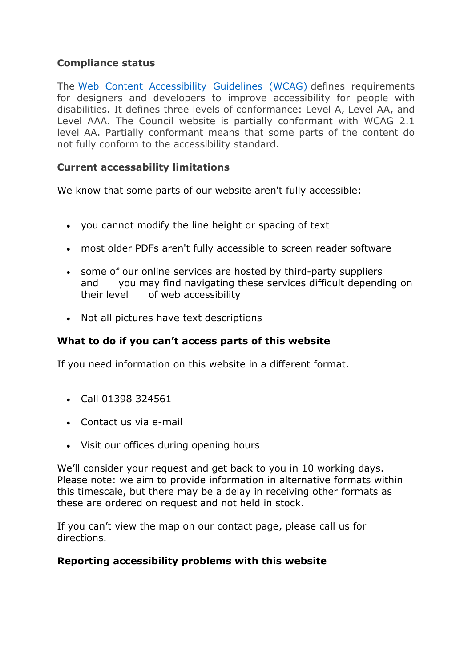### **Compliance status**

The Web Content Accessibility Guidelines (WCAG) defines requirements for designers and developers to improve accessibility for people with disabilities. It defines three levels of conformance: Level A, Level AA, and Level AAA. The Council website is partially conformant with WCAG 2.1 level AA. Partially conformant means that some parts of the content do not fully conform to the accessibility standard.

#### **Current accessability limitations**

We know that some parts of our website aren't fully accessible:

- you cannot modify the line height or spacing of text
- most older PDFs aren't fully accessible to screen reader software
- some of our online services are hosted by third-party suppliers and you may find navigating these services difficult depending on their level of web accessibility
- Not all pictures have text descriptions

## **What to do if you can't access parts of this website**

If you need information on this website in a different format.

- Call 01398 324561
- Contact us via e-mail
- Visit our offices during opening hours

We'll consider your request and get back to you in 10 working days. Please note: we aim to provide information in alternative formats within this timescale, but there may be a delay in receiving other formats as these are ordered on request and not held in stock.

If you can't view the map on our contact page, please call us for directions.

#### **Reporting accessibility problems with this website**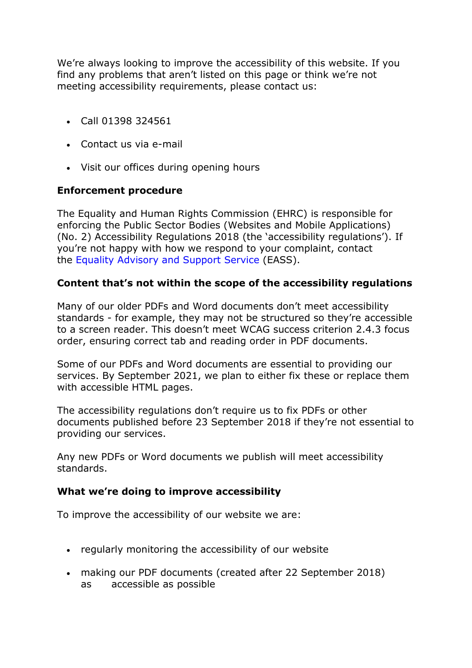We're always looking to improve the accessibility of this website. If you find any problems that aren't listed on this page or think we're not meeting accessibility requirements, please contact us:

- Call 01398 324561
- Contact us via e-mail
- Visit our offices during opening hours

## **Enforcement procedure**

The Equality and Human Rights Commission (EHRC) is responsible for enforcing the Public Sector Bodies (Websites and Mobile Applications) (No. 2) Accessibility Regulations 2018 (the 'accessibility regulations'). If you're not happy with how we respond to your complaint, contact the Equality Advisory and Support Service (EASS).

## **Content that's not within the scope of the accessibility regulations**

Many of our older PDFs and Word documents don't meet accessibility standards - for example, they may not be structured so they're accessible to a screen reader. This doesn't meet WCAG success criterion 2.4.3 focus order, ensuring correct tab and reading order in PDF documents.

Some of our PDFs and Word documents are essential to providing our services. By September 2021, we plan to either fix these or replace them with accessible HTML pages.

The accessibility regulations don't require us to fix PDFs or other documents published before 23 September 2018 if they're not essential to providing our services.

Any new PDFs or Word documents we publish will meet accessibility standards.

#### **What we're doing to improve accessibility**

To improve the accessibility of our website we are:

- regularly monitoring the accessibility of our website
- making our PDF documents (created after 22 September 2018) as accessible as possible